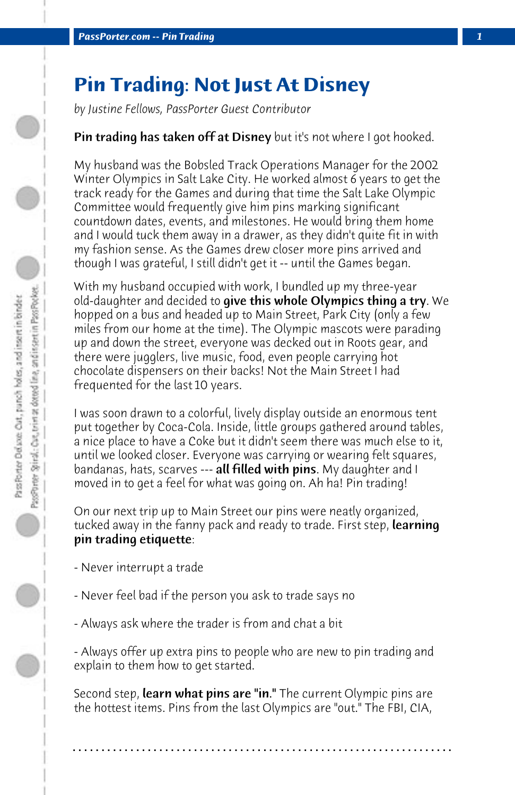## **Pin Trading: Not Just At Disney**

*by Justine Fellows, PassPorter Guest Contributor*

## **Pin trading has taken off at Disney** but it's not where I got hooked.

My husband was the Bobsled Track Operations Manager for the 2002 Winter Olympics in Salt Lake City. He worked almost 6 years to get the track ready for the Games and during that time the Salt Lake Olympic Committee would frequently give him pins marking significant countdown dates, events, and milestones. He would bring them home and I would tuck them away in a drawer, as they didn't quite fit in with my fashion sense. As the Games drew closer more pins arrived and though I was grateful, I still didn't get it -- until the Games began.

With my husband occupied with work, I bundled up my three-year old-daughter and decided to **give this whole Olympics thing a try**. We hopped on a bus and headed up to Main Street, Park City (only a few miles from our home at the time). The Olympic mascots were parading up and down the street, everyone was decked out in Roots gear, and there were jugglers, live music, food, even people carrying hot chocolate dispensers on their backs! Not the Main Street I had frequented for the last 10 years.

I was soon drawn to a colorful, lively display outside an enormous tent put together by Coca-Cola. Inside, little groups gathered around tables, a nice place to have a Coke but it didn't seem there was much else to it, until we looked closer. Everyone was carrying or wearing felt squares, bandanas, hats, scarves --- **all filled with pins**. My daughter and I moved in to get a feel for what was going on. Ah ha! Pin trading!

On our next trip up to Main Street our pins were neatly organized, tucked away in the fanny pack and ready to trade. First step, **learning** pin trading etiquette:

- Never interrupt a trade
- Never feel bad if the person you ask to trade says no
- Always ask where the trader is from and chat a bit

- Always offer up extra pins to people who are new to pin trading and explain to them how to get started.

Second step, **learn what pins are "in."** The current Olympic pins are the hottest items. Pins from the last Olympics are "out." The FBI, CIA,

**. . . . . . . . . . . . . . . . . . . . . . . . . . . . . . . . . . . . . . . . . . . . . . . . . . . . . . . . . . . . . . . . . .**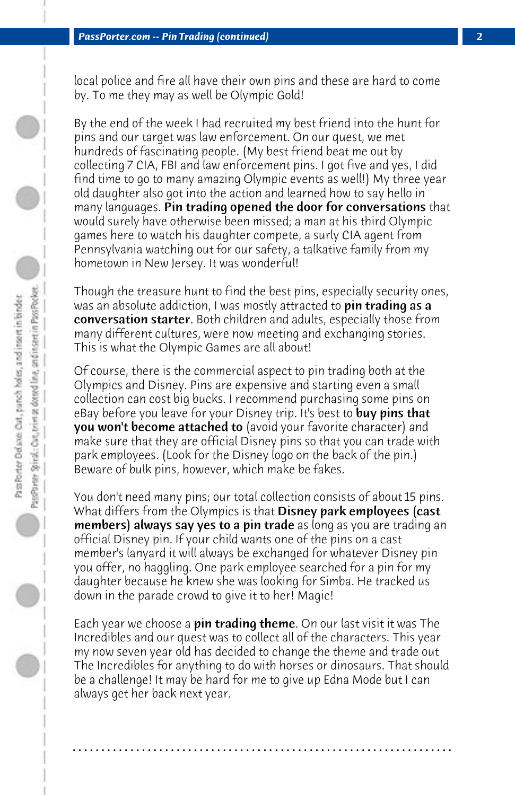local police and fire all have their own pins and these are hard to come by. To me they may as well be Olympic Gold!

By the end of the week I had recruited my best friend into the hunt for pins and our target was law enforcement. On our quest, we met hundreds of fascinating people. (My best friend beat me out by collecting 7 CIA, FBI and law enforcement pins. I got five and yes, I did find time to go to many amazing Olympic events as well!) My three year old daughter also got into the action and learned how to say hello in many languages. Pin trading opened the door for conversations that would surely have otherwise been missed; a man at his third Olympic games here to watch his daughter compete, a surly CIA agent from Pennsylvania watching out for our safety, a talkative family from my hometown in New Jersey. It was wonderful!

Though the treasure hunt to find the best pins, especially security ones, was an absolute addiction, I was mostly attracted to **pin trading as a** conversation starter. Both children and adults, especially those from many different cultures, were now meeting and exchanging stories. This is what the Olympic Games are all about!

Of course, there is the commercial aspect to pin trading both at the Olympics and Disney. Pins are expensive and starting even a small collection can cost big bucks. I recommend purchasing some pins on eBay before you leave for your Disney trip. It's best to buy pins that you won't become attached to (avoid your favorite character) and make sure that they are official Disney pins so that you can trade with park employees. (Look for the Disney logo on the back of the pin.) Beware of bulk pins, however, which make be fakes.

You don't need many pins; our total collection consists of about 15 pins. What differs from the Olympics is that **Disney park employees (cast** members) always say yes to a pin trade as long as you are trading an official Disney pin. If your child wants one of the pins on a cast member's lanyard it will always be exchanged for whatever Disney pin you offer, no haggling. One park employee searched for a pin for my daughter because he knew she was looking for Simba. He tracked us down in the parade crowd to give it to her! Magic!

Each year we choose a **pin trading theme**. On our last visit it was The Incredibles and our quest was to collect all of the characters. This year my now seven year old has decided to change the theme and trade out The Incredibles for anything to do with horses or dinosaurs. That should be a challenge! It may be hard for me to give up Edna Mode but I can always get her back next year.

**. . . . . . . . . . . . . . . . . . . . . . . . . . . . . . . . . . . . . . . . . . . . . . . . . . . . . . . . . . . . . . . . . .**